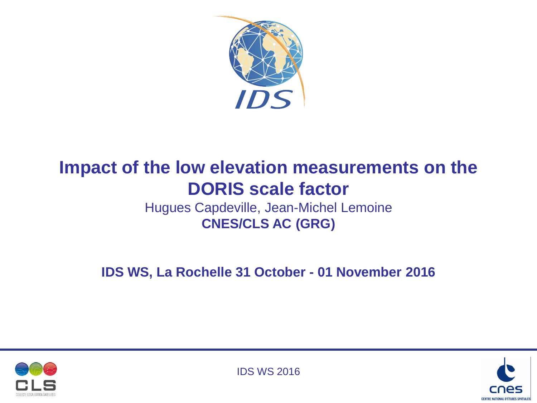

# **Impact of the low elevation measurements on the DORIS scale factor**

Hugues Capdeville, Jean-Michel Lemoine **CNES/CLS AC (GRG)**

**IDS WS, La Rochelle 31 October - 01 November 2016**





IDS WS 2016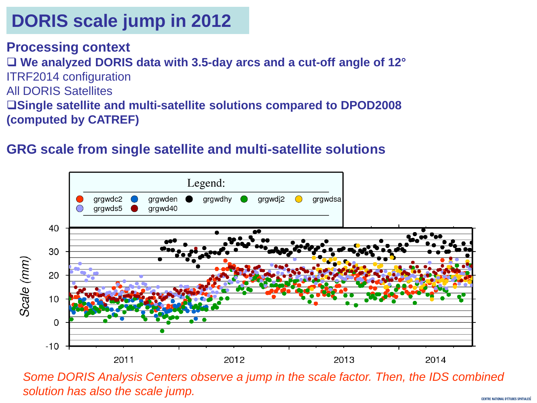**Processing context We analyzed DORIS data with 3.5-day arcs and a cut-off angle of 12°** ITRF2014 configuration All DORIS Satellites **Single satellite and multi-satellite solutions compared to DPOD2008 (computed by CATREF)**

### **GRG scale from single satellite and multi-satellite solutions**



*Some DORIS Analysis Centers observe a jump in the scale factor. Then, the IDS combined solution has also the scale jump.*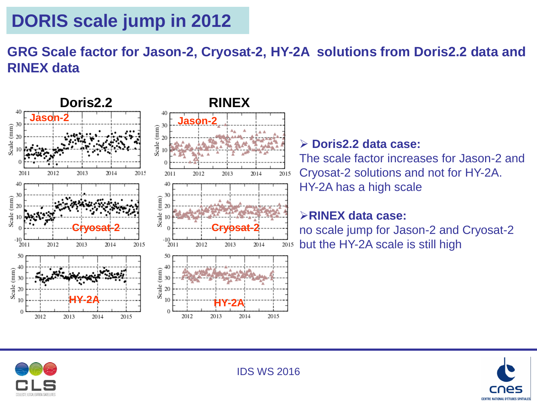### **GRG Scale factor for Jason-2, Cryosat-2, HY-2A solutions from Doris2.2 data and RINEX data**



### **Doris2.2 data case:**

The scale factor increases for Jason-2 and Cryosat-2 solutions and not for HY-2A. HY-2A has a high scale

#### **RINEX data case:**

no scale jump for Jason-2 and Cryosat-2 but the HY-2A scale is still high



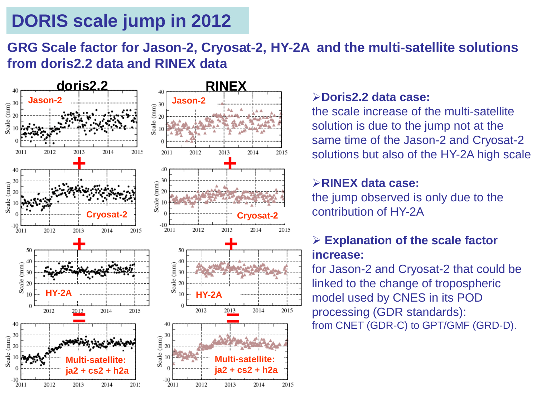### **GRG Scale factor for Jason-2, Cryosat-2, HY-2A and the multi-satellite solutions from doris2.2 data and RINEX data**



#### **Doris2.2 data case:**

the scale increase of the multi-satellite solution is due to the jump not at the same time of the Jason-2 and Cryosat-2 solutions but also of the HY-2A high scale

#### **RINEX data case:**

the jump observed is only due to the contribution of HY-2A

#### **Explanation of the scale factor increase:**

for Jason-2 and Cryosat-2 that could be linked to the change of tropospheric model used by CNES in its POD processing (GDR standards): from CNET (GDR-C) to GPT/GMF (GRD-D).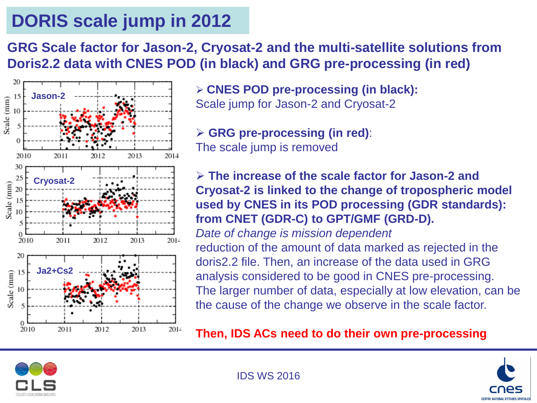**GRG Scale factor for Jason-2, Cryosat-2 and the multi-satellite solutions from Doris2.2 data with CNES POD (in black) and GRG pre-processing (in red)**



 **CNES POD pre-processing (in black):** Scale jump for Jason-2 and Cryosat-2

 **GRG pre-processing (in red)**: The scale jump is removed

 **The increase of the scale factor for Jason-2 and Cryosat-2 is linked to the change of tropospheric model used by CNES in its POD processing (GDR standards): from CNET (GDR-C) to GPT/GMF (GRD-D).**

*Date of change is mission dependent* reduction of the amount of data marked as rejected in the doris2.2 file. Then, an increase of the data used in GRG analysis considered to be good in CNES pre-processing. The larger number of data, especially at low elevation, can be the cause of the change we observe in the scale factor.

**Then, IDS ACs need to do their own pre-processing**



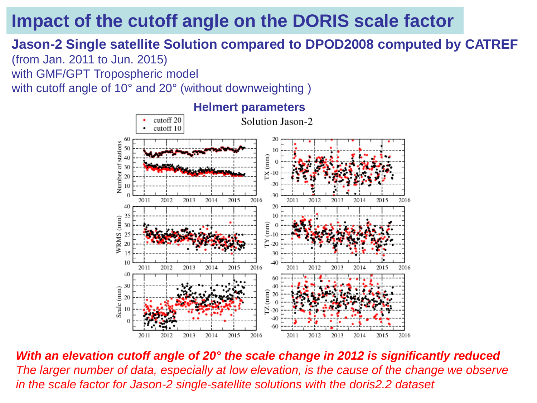## **Impact of the cutoff angle on the DORIS scale factor**

# **Jason-2 Single satellite Solution compared to DPOD2008 computed by CATREF**

(from Jan. 2011 to Jun. 2015) with GMF/GPT Tropospheric model

with cutoff angle of 10° and 20° (without downweighting )



*With an elevation cutoff angle of 20° the scale change in 2012 is significantly reduced The larger number of data, especially at low elevation, is the cause of the change we observe in the scale factor for Jason-2 single-satellite solutions with the doris2.2 dataset*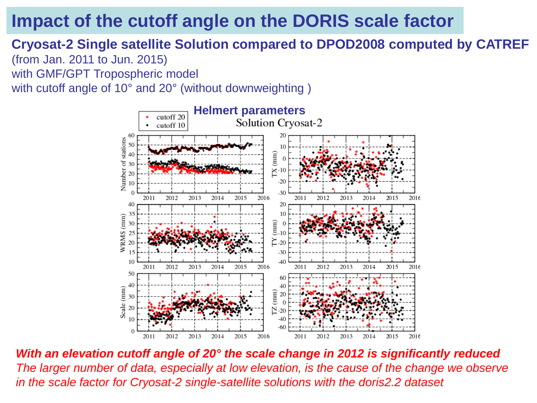## **Impact of the cutoff angle on the DORIS scale factor**

## **Cryosat-2 Single satellite Solution compared to DPOD2008 computed by CATREF**

(from Jan. 2011 to Jun. 2015) with GMF/GPT Tropospheric model

with cutoff angle of 10° and 20° (without downweighting )



*With an elevation cutoff angle of 20° the scale change in 2012 is significantly reduced The larger number of data, especially at low elevation, is the cause of the change we observe in the scale factor for Cryosat-2 single-satellite solutions with the doris2.2 dataset*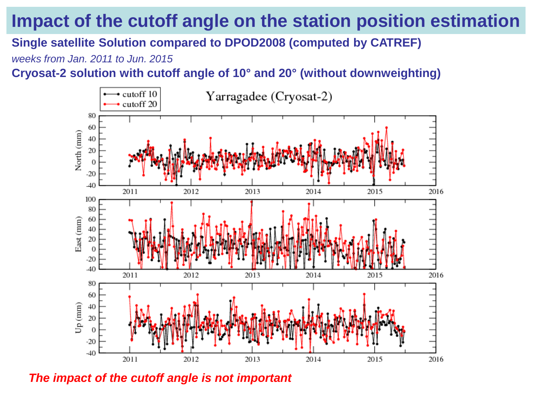## **Impact of the cutoff angle on the station position estimation**

**Single satellite Solution compared to DPOD2008 (computed by CATREF)**

*weeks from Jan. 2011 to Jun. 2015*

**Cryosat-2 solution with cutoff angle of 10° and 20° (without downweighting)**



*The impact of the cutoff angle is not important*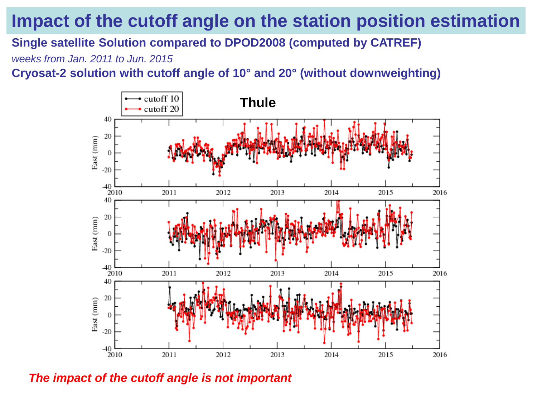## **Impact of the cutoff angle on the station position estimation**

**Single satellite Solution compared to DPOD2008 (computed by CATREF)**

*weeks from Jan. 2011 to Jun. 2015*

**Cryosat-2 solution with cutoff angle of 10° and 20° (without downweighting)**



*The impact of the cutoff angle is not important*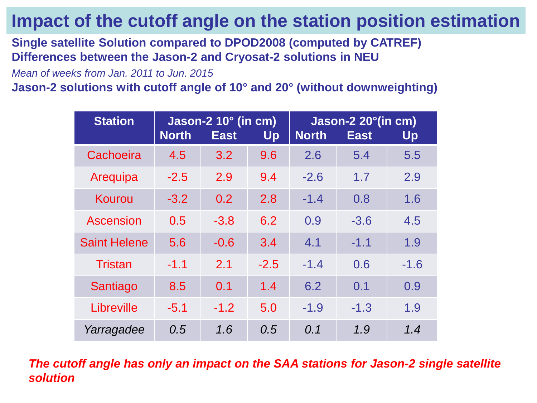## **Impact of the cutoff angle on the station position estimation**

**Single satellite Solution compared to DPOD2008 (computed by CATREF) Differences between the Jason-2 and Cryosat-2 solutions in NEU**

*Mean of weeks from Jan. 2011 to Jun. 2015*

**Jason-2 solutions with cutoff angle of 10° and 20° (without downweighting)**

| <b>Station</b>      | Jason-2 10° (in cm)<br><b>North</b><br>Up<br><b>East</b> |        |        | Jason-2 20°(in cm)<br><b>North</b><br><b>East</b><br>Up |        |        |
|---------------------|----------------------------------------------------------|--------|--------|---------------------------------------------------------|--------|--------|
| Cachoeira           | 4.5                                                      | 3.2    | 9.6    | 2.6                                                     | 5.4    | 5.5    |
| Arequipa            | $-2.5$                                                   | 2.9    | 9.4    | $-2.6$                                                  | 1.7    | 2.9    |
| Kourou              | $-3.2$                                                   | 0.2    | 2.8    | $-1.4$                                                  | 0.8    | 1.6    |
| Ascension           | 0.5                                                      | $-3.8$ | 6.2    | 0.9                                                     | $-3.6$ | 4.5    |
| <b>Saint Helene</b> | 5.6                                                      | $-0.6$ | 3.4    | 4.1                                                     | $-1.1$ | 1.9    |
| <b>Tristan</b>      | $-1.1$                                                   | 2.1    | $-2.5$ | $-1.4$                                                  | 0.6    | $-1.6$ |
| Santiago            | 8.5                                                      | 0.1    | 1.4    | 6.2                                                     | 0.1    | 0.9    |
| Libreville          | $-5.1$                                                   | $-1.2$ | 5.0    | $-1.9$                                                  | $-1.3$ | 1.9    |
| Yarragadee          | 0.5                                                      | 1.6    | 0.5    | 0.1                                                     | 1.9    | 1.4    |

*The cutoff angle has only an impact on the SAA stations for Jason-2 single satellite solution*